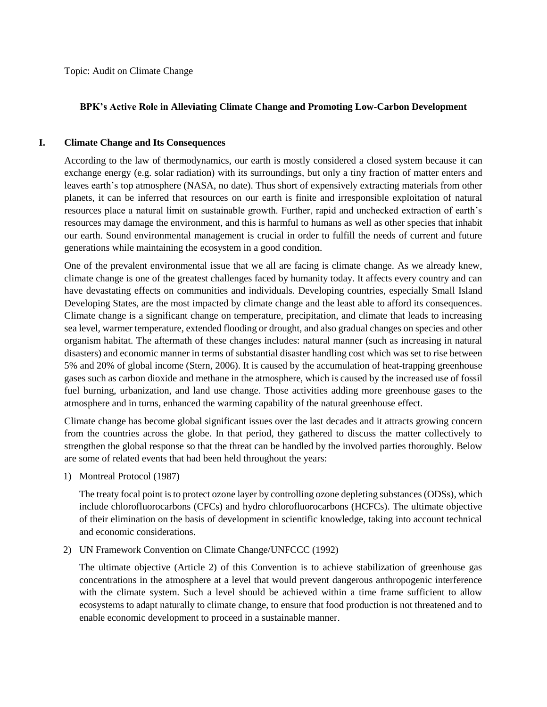Topic: Audit on Climate Change

# **BPK's Active Role in Alleviating Climate Change and Promoting Low-Carbon Development**

## **I. Climate Change and Its Consequences**

According to the law of thermodynamics, our earth is mostly considered a closed system because it can exchange energy (e.g. solar radiation) with its surroundings, but only a tiny fraction of matter enters and leaves earth's top atmosphere (NASA, no date). Thus short of expensively extracting materials from other planets, it can be inferred that resources on our earth is finite and irresponsible exploitation of natural resources place a natural limit on sustainable growth. Further, rapid and unchecked extraction of earth's resources may damage the environment, and this is harmful to humans as well as other species that inhabit our earth. Sound environmental management is crucial in order to fulfill the needs of current and future generations while maintaining the ecosystem in a good condition.

One of the prevalent environmental issue that we all are facing is climate change. As we already knew, climate change is one of the greatest challenges faced by humanity today. It affects every country and can have devastating effects on communities and individuals. Developing countries, especially Small Island Developing States, are the most impacted by climate change and the least able to afford its consequences. Climate change is a significant change on temperature, precipitation, and climate that leads to increasing sea level, warmer temperature, extended flooding or drought, and also gradual changes on species and other organism habitat. The aftermath of these changes includes: natural manner (such as increasing in natural disasters) and economic manner in terms of substantial disaster handling cost which was set to rise between 5% and 20% of global income (Stern, 2006). It is caused by the accumulation of heat-trapping greenhouse gases such as carbon dioxide and methane in the atmosphere, which is caused by the increased use of fossil fuel burning, urbanization, and land use change. Those activities adding more greenhouse gases to the atmosphere and in turns, enhanced the warming capability of the natural greenhouse effect.

Climate change has become global significant issues over the last decades and it attracts growing concern from the countries across the globe. In that period, they gathered to discuss the matter collectively to strengthen the global response so that the threat can be handled by the involved parties thoroughly. Below are some of related events that had been held throughout the years:

1) Montreal Protocol (1987)

The treaty focal point is to protect ozone layer by controlling ozone depleting substances (ODSs), which include chlorofluorocarbons (CFCs) and hydro chlorofluorocarbons (HCFCs). The ultimate objective of their elimination on the basis of development in scientific knowledge, taking into account technical and economic considerations.

2) UN Framework Convention on Climate Change/UNFCCC (1992)

The ultimate objective (Article 2) of this Convention is to achieve stabilization of greenhouse gas concentrations in the atmosphere at a level that would prevent dangerous anthropogenic interference with the climate system. Such a level should be achieved within a time frame sufficient to allow ecosystems to adapt naturally to climate change, to ensure that food production is not threatened and to enable economic development to proceed in a sustainable manner.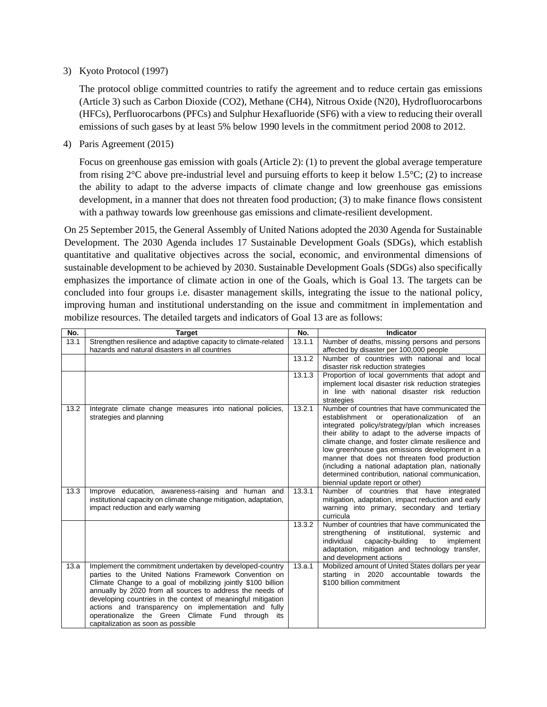### 3) Kyoto Protocol (1997)

The protocol oblige committed countries to ratify the agreement and to reduce certain gas emissions (Article 3) such as Carbon Dioxide (CO2), Methane (CH4), Nitrous Oxide (N20), Hydrofluorocarbons (HFCs), Perfluorocarbons (PFCs) and Sulphur Hexafluoride (SF6) with a view to reducing their overall emissions of such gases by at least 5% below 1990 levels in the commitment period 2008 to 2012.

4) Paris Agreement (2015)

Focus on greenhouse gas emission with goals (Article 2): (1) to prevent the global average temperature from rising 2°C above pre-industrial level and pursuing efforts to keep it below 1.5°C; (2) to increase the ability to adapt to the adverse impacts of climate change and low greenhouse gas emissions development, in a manner that does not threaten food production; (3) to make finance flows consistent with a pathway towards low greenhouse gas emissions and climate-resilient development.

On 25 September 2015, the General Assembly of United Nations adopted the 2030 Agenda for Sustainable Development. The 2030 Agenda includes 17 Sustainable Development Goals (SDGs), which establish quantitative and qualitative objectives across the social, economic, and environmental dimensions of sustainable development to be achieved by 2030. Sustainable Development Goals (SDGs) also specifically emphasizes the importance of climate action in one of the Goals, which is Goal 13. The targets can be concluded into four groups i.e. disaster management skills, integrating the issue to the national policy, improving human and institutional understanding on the issue and commitment in implementation and mobilize resources. The detailed targets and indicators of Goal 13 are as follows:

| No.  | <b>Target</b>                                                    | No.    | <b>Indicator</b>                                                                                         |
|------|------------------------------------------------------------------|--------|----------------------------------------------------------------------------------------------------------|
| 13.1 | Strengthen resilience and adaptive capacity to climate-related   | 13.1.1 | Number of deaths, missing persons and persons                                                            |
|      | hazards and natural disasters in all countries                   |        | affected by disaster per 100,000 people                                                                  |
|      |                                                                  | 13.1.2 | Number of countries with national and local                                                              |
|      |                                                                  |        | disaster risk reduction strategies                                                                       |
|      |                                                                  | 13.1.3 | Proportion of local governments that adopt and                                                           |
|      |                                                                  |        | implement local disaster risk reduction strategies                                                       |
|      |                                                                  |        | in line with national disaster risk reduction                                                            |
|      |                                                                  |        | strategies                                                                                               |
| 13.2 | Integrate climate change measures into national policies,        | 13.2.1 | Number of countries that have communicated the                                                           |
|      | strategies and planning                                          |        | establishment<br>operationalization<br>of<br>or<br>an<br>integrated policy/strategy/plan which increases |
|      |                                                                  |        | their ability to adapt to the adverse impacts of                                                         |
|      |                                                                  |        | climate change, and foster climate resilience and                                                        |
|      |                                                                  |        | low greenhouse gas emissions development in a                                                            |
|      |                                                                  |        | manner that does not threaten food production                                                            |
|      |                                                                  |        | (including a national adaptation plan, nationally                                                        |
|      |                                                                  |        | determined contribution, national communication,                                                         |
|      |                                                                  |        | biennial update report or other)                                                                         |
| 13.3 | Improve education, awareness-raising and human and               | 13.3.1 | Number of countries that have integrated                                                                 |
|      | institutional capacity on climate change mitigation, adaptation, |        | mitigation, adaptation, impact reduction and early                                                       |
|      | impact reduction and early warning                               |        | warning into primary, secondary and tertiary                                                             |
|      |                                                                  |        | curricula                                                                                                |
|      |                                                                  | 13.3.2 | Number of countries that have communicated the<br>strengthening of institutional, systemic and           |
|      |                                                                  |        | individual<br>capacity-building<br>to<br>implement                                                       |
|      |                                                                  |        | adaptation, mitigation and technology transfer,                                                          |
|      |                                                                  |        | and development actions                                                                                  |
| 13.a | Implement the commitment undertaken by developed-country         | 13.a.1 | Mobilized amount of United States dollars per year                                                       |
|      | parties to the United Nations Framework Convention on            |        | starting in 2020 accountable towards the                                                                 |
|      | Climate Change to a goal of mobilizing jointly \$100 billion     |        | \$100 billion commitment                                                                                 |
|      | annually by 2020 from all sources to address the needs of        |        |                                                                                                          |
|      | developing countries in the context of meaningful mitigation     |        |                                                                                                          |
|      | actions and transparency on implementation and fully             |        |                                                                                                          |
|      | operationalize the Green Climate Fund through its                |        |                                                                                                          |
|      | capitalization as soon as possible                               |        |                                                                                                          |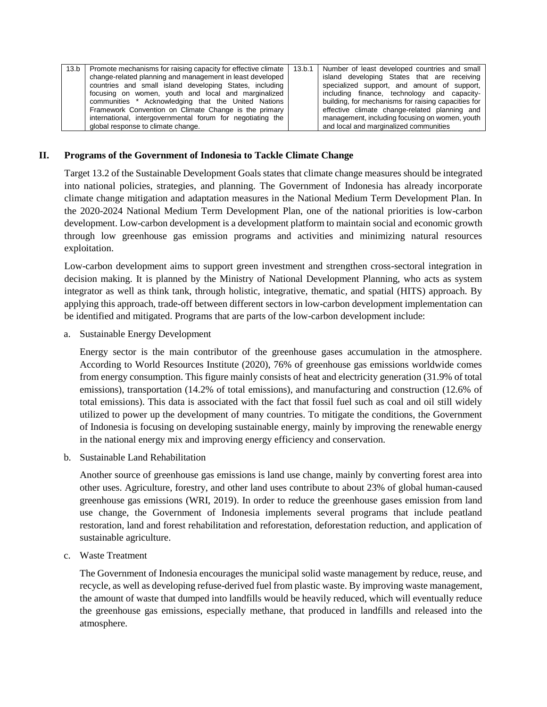| 13.b | Promote mechanisms for raising capacity for effective climate<br>change-related planning and management in least developed<br>countries and small island developing States, including<br>focusing on women, youth and local and marginalized<br>communities * Acknowledging that the United Nations | 13.b.1 | Number of least developed countries and small<br>island developing States that are receiving<br>specialized support, and amount of support,<br>including finance, technology and capacity-<br>building, for mechanisms for raising capacities for |
|------|-----------------------------------------------------------------------------------------------------------------------------------------------------------------------------------------------------------------------------------------------------------------------------------------------------|--------|---------------------------------------------------------------------------------------------------------------------------------------------------------------------------------------------------------------------------------------------------|
|      | Framework Convention on Climate Change is the primary<br>international, intergovernmental forum for negotiating the<br>global response to climate change.                                                                                                                                           |        | effective climate change-related planning and<br>management, including focusing on women, youth<br>and local and marginalized communities                                                                                                         |

#### **II. Programs of the Government of Indonesia to Tackle Climate Change**

Target 13.2 of the Sustainable Development Goals states that climate change measures should be integrated into national policies, strategies, and planning. The Government of Indonesia has already incorporate climate change mitigation and adaptation measures in the National Medium Term Development Plan. In the 2020-2024 National Medium Term Development Plan, one of the national priorities is low-carbon development. Low-carbon development is a development platform to maintain social and economic growth through low greenhouse gas emission programs and activities and minimizing natural resources exploitation.

Low-carbon development aims to support green investment and strengthen cross-sectoral integration in decision making. It is planned by the Ministry of National Development Planning, who acts as system integrator as well as think tank, through holistic, integrative, thematic, and spatial (HITS) approach. By applying this approach, trade-off between different sectors in low-carbon development implementation can be identified and mitigated. Programs that are parts of the low-carbon development include:

a. Sustainable Energy Development

Energy sector is the main contributor of the greenhouse gases accumulation in the atmosphere. According to World Resources Institute (2020), 76% of greenhouse gas emissions worldwide comes from energy consumption. This figure mainly consists of heat and electricity generation (31.9% of total emissions), transportation (14.2% of total emissions), and manufacturing and construction (12.6% of total emissions). This data is associated with the fact that fossil fuel such as coal and oil still widely utilized to power up the development of many countries. To mitigate the conditions, the Government of Indonesia is focusing on developing sustainable energy, mainly by improving the renewable energy in the national energy mix and improving energy efficiency and conservation.

b. Sustainable Land Rehabilitation

Another source of greenhouse gas emissions is land use change, mainly by converting forest area into other uses. Agriculture, forestry, and other land uses contribute to about 23% of global human-caused greenhouse gas emissions (WRI, 2019). In order to reduce the greenhouse gases emission from land use change, the Government of Indonesia implements several programs that include peatland restoration, land and forest rehabilitation and reforestation, deforestation reduction, and application of sustainable agriculture.

c. Waste Treatment

The Government of Indonesia encourages the municipal solid waste management by reduce, reuse, and recycle, as well as developing refuse-derived fuel from plastic waste. By improving waste management, the amount of waste that dumped into landfills would be heavily reduced, which will eventually reduce the greenhouse gas emissions, especially methane, that produced in landfills and released into the atmosphere.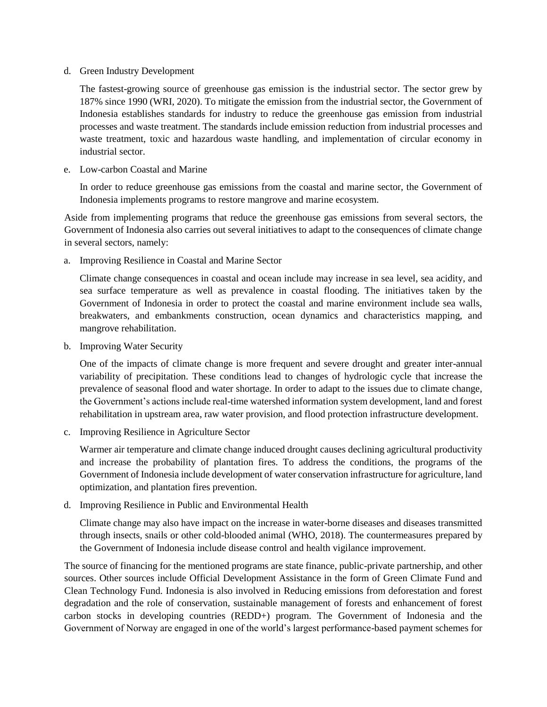#### d. Green Industry Development

The fastest-growing source of greenhouse gas emission is the industrial sector. The sector grew by 187% since 1990 (WRI, 2020). To mitigate the emission from the industrial sector, the Government of Indonesia establishes standards for industry to reduce the greenhouse gas emission from industrial processes and waste treatment. The standards include emission reduction from industrial processes and waste treatment, toxic and hazardous waste handling, and implementation of circular economy in industrial sector.

### e. Low-carbon Coastal and Marine

In order to reduce greenhouse gas emissions from the coastal and marine sector, the Government of Indonesia implements programs to restore mangrove and marine ecosystem.

Aside from implementing programs that reduce the greenhouse gas emissions from several sectors, the Government of Indonesia also carries out several initiatives to adapt to the consequences of climate change in several sectors, namely:

a. Improving Resilience in Coastal and Marine Sector

Climate change consequences in coastal and ocean include may increase in sea level, sea acidity, and sea surface temperature as well as prevalence in coastal flooding. The initiatives taken by the Government of Indonesia in order to protect the coastal and marine environment include sea walls, breakwaters, and embankments construction, ocean dynamics and characteristics mapping, and mangrove rehabilitation.

b. Improving Water Security

One of the impacts of climate change is more frequent and severe drought and greater inter-annual variability of precipitation. These conditions lead to changes of hydrologic cycle that increase the prevalence of seasonal flood and water shortage. In order to adapt to the issues due to climate change, the Government's actions include real-time watershed information system development, land and forest rehabilitation in upstream area, raw water provision, and flood protection infrastructure development.

c. Improving Resilience in Agriculture Sector

Warmer air temperature and climate change induced drought causes declining agricultural productivity and increase the probability of plantation fires. To address the conditions, the programs of the Government of Indonesia include development of water conservation infrastructure for agriculture, land optimization, and plantation fires prevention.

d. Improving Resilience in Public and Environmental Health

Climate change may also have impact on the increase in water-borne diseases and diseases transmitted through insects, snails or other cold-blooded animal (WHO, 2018). The countermeasures prepared by the Government of Indonesia include disease control and health vigilance improvement.

The source of financing for the mentioned programs are state finance, public-private partnership, and other sources. Other sources include Official Development Assistance in the form of Green Climate Fund and Clean Technology Fund. Indonesia is also involved in Reducing emissions from deforestation and forest degradation and the role of conservation, sustainable management of forests and enhancement of forest carbon stocks in developing countries (REDD+) program. The Government of Indonesia and the Government of Norway are engaged in one of the world's largest performance-based payment schemes for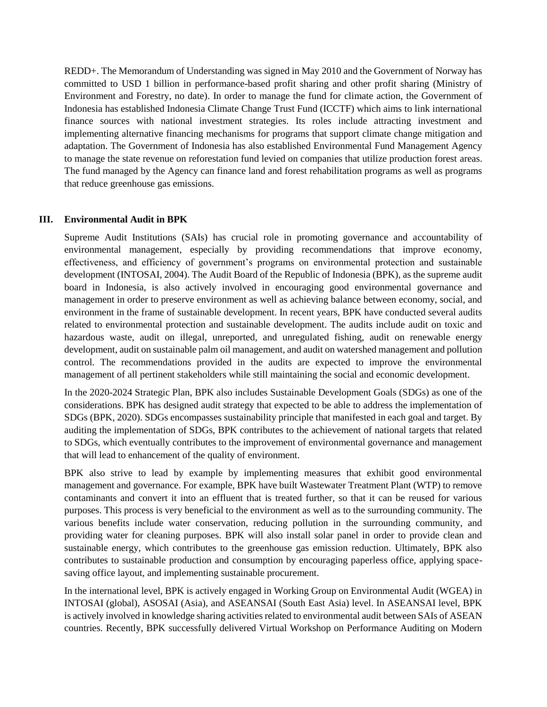REDD+. The Memorandum of Understanding was signed in May 2010 and the Government of Norway has committed to USD 1 billion in performance-based profit sharing and other profit sharing (Ministry of Environment and Forestry, no date). In order to manage the fund for climate action, the Government of Indonesia has established Indonesia Climate Change Trust Fund (ICCTF) which aims to link international finance sources with national investment strategies. Its roles include attracting investment and implementing alternative financing mechanisms for programs that support climate change mitigation and adaptation. The Government of Indonesia has also established Environmental Fund Management Agency to manage the state revenue on reforestation fund levied on companies that utilize production forest areas. The fund managed by the Agency can finance land and forest rehabilitation programs as well as programs that reduce greenhouse gas emissions.

### **III. Environmental Audit in BPK**

Supreme Audit Institutions (SAIs) has crucial role in promoting governance and accountability of environmental management, especially by providing recommendations that improve economy, effectiveness, and efficiency of government's programs on environmental protection and sustainable development (INTOSAI, 2004). The Audit Board of the Republic of Indonesia (BPK), as the supreme audit board in Indonesia, is also actively involved in encouraging good environmental governance and management in order to preserve environment as well as achieving balance between economy, social, and environment in the frame of sustainable development. In recent years, BPK have conducted several audits related to environmental protection and sustainable development. The audits include audit on toxic and hazardous waste, audit on illegal, unreported, and unregulated fishing, audit on renewable energy development, audit on sustainable palm oil management, and audit on watershed management and pollution control. The recommendations provided in the audits are expected to improve the environmental management of all pertinent stakeholders while still maintaining the social and economic development.

In the 2020-2024 Strategic Plan, BPK also includes Sustainable Development Goals (SDGs) as one of the considerations. BPK has designed audit strategy that expected to be able to address the implementation of SDGs (BPK, 2020). SDGs encompasses sustainability principle that manifested in each goal and target. By auditing the implementation of SDGs, BPK contributes to the achievement of national targets that related to SDGs, which eventually contributes to the improvement of environmental governance and management that will lead to enhancement of the quality of environment.

BPK also strive to lead by example by implementing measures that exhibit good environmental management and governance. For example, BPK have built Wastewater Treatment Plant (WTP) to remove contaminants and convert it into an effluent that is treated further, so that it can be reused for various purposes. This process is very beneficial to the environment as well as to the surrounding community. The various benefits include water conservation, reducing pollution in the surrounding community, and providing water for cleaning purposes. BPK will also install solar panel in order to provide clean and sustainable energy, which contributes to the greenhouse gas emission reduction. Ultimately, BPK also contributes to sustainable production and consumption by encouraging paperless office, applying spacesaving office layout, and implementing sustainable procurement.

In the international level, BPK is actively engaged in Working Group on Environmental Audit (WGEA) in INTOSAI (global), ASOSAI (Asia), and ASEANSAI (South East Asia) level. In ASEANSAI level, BPK is actively involved in knowledge sharing activities related to environmental audit between SAIs of ASEAN countries. Recently, BPK successfully delivered Virtual Workshop on Performance Auditing on Modern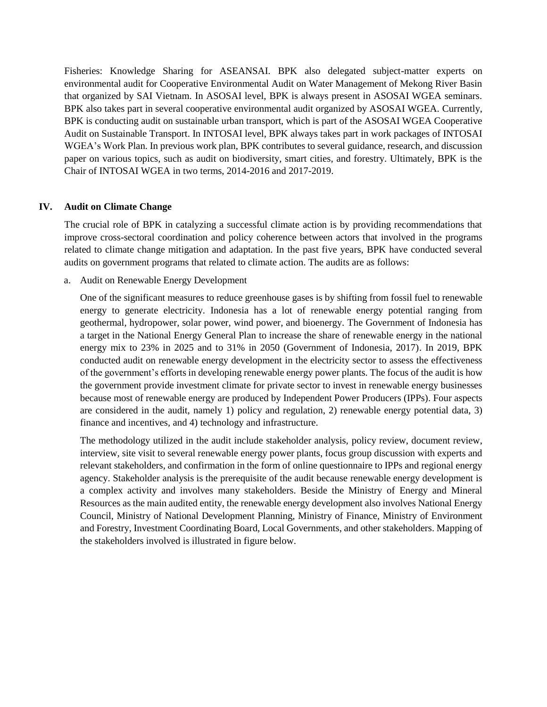Fisheries: Knowledge Sharing for ASEANSAI. BPK also delegated subject-matter experts on environmental audit for Cooperative Environmental Audit on Water Management of Mekong River Basin that organized by SAI Vietnam. In ASOSAI level, BPK is always present in ASOSAI WGEA seminars. BPK also takes part in several cooperative environmental audit organized by ASOSAI WGEA. Currently, BPK is conducting audit on sustainable urban transport, which is part of the ASOSAI WGEA Cooperative Audit on Sustainable Transport. In INTOSAI level, BPK always takes part in work packages of INTOSAI WGEA's Work Plan. In previous work plan, BPK contributes to several guidance, research, and discussion paper on various topics, such as audit on biodiversity, smart cities, and forestry. Ultimately, BPK is the Chair of INTOSAI WGEA in two terms, 2014-2016 and 2017-2019.

### **IV. Audit on Climate Change**

The crucial role of BPK in catalyzing a successful climate action is by providing recommendations that improve cross-sectoral coordination and policy coherence between actors that involved in the programs related to climate change mitigation and adaptation. In the past five years, BPK have conducted several audits on government programs that related to climate action. The audits are as follows:

a. Audit on Renewable Energy Development

One of the significant measures to reduce greenhouse gases is by shifting from fossil fuel to renewable energy to generate electricity. Indonesia has a lot of renewable energy potential ranging from geothermal, hydropower, solar power, wind power, and bioenergy. The Government of Indonesia has a target in the National Energy General Plan to increase the share of renewable energy in the national energy mix to 23% in 2025 and to 31% in 2050 (Government of Indonesia, 2017). In 2019, BPK conducted audit on renewable energy development in the electricity sector to assess the effectiveness of the government's efforts in developing renewable energy power plants. The focus of the audit is how the government provide investment climate for private sector to invest in renewable energy businesses because most of renewable energy are produced by Independent Power Producers (IPPs). Four aspects are considered in the audit, namely 1) policy and regulation, 2) renewable energy potential data, 3) finance and incentives, and 4) technology and infrastructure.

The methodology utilized in the audit include stakeholder analysis, policy review, document review, interview, site visit to several renewable energy power plants, focus group discussion with experts and relevant stakeholders, and confirmation in the form of online questionnaire to IPPs and regional energy agency. Stakeholder analysis is the prerequisite of the audit because renewable energy development is a complex activity and involves many stakeholders. Beside the Ministry of Energy and Mineral Resources as the main audited entity, the renewable energy development also involves National Energy Council, Ministry of National Development Planning, Ministry of Finance, Ministry of Environment and Forestry, Investment Coordinating Board, Local Governments, and other stakeholders. Mapping of the stakeholders involved is illustrated in figure below.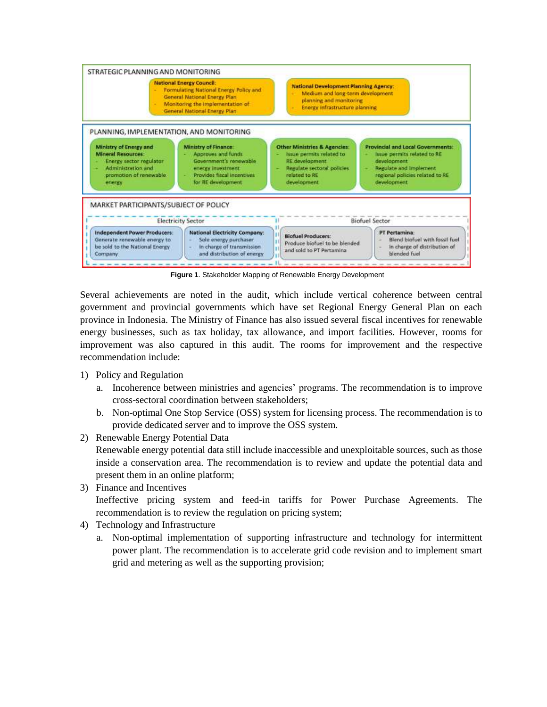

**Figure 1**. Stakeholder Mapping of Renewable Energy Development

Several achievements are noted in the audit, which include vertical coherence between central government and provincial governments which have set Regional Energy General Plan on each province in Indonesia. The Ministry of Finance has also issued several fiscal incentives for renewable energy businesses, such as tax holiday, tax allowance, and import facilities. However, rooms for improvement was also captured in this audit. The rooms for improvement and the respective recommendation include:

- 1) Policy and Regulation
	- a. Incoherence between ministries and agencies' programs. The recommendation is to improve cross-sectoral coordination between stakeholders;
	- b. Non-optimal One Stop Service (OSS) system for licensing process. The recommendation is to provide dedicated server and to improve the OSS system.

2) Renewable Energy Potential Data Renewable energy potential data still include inaccessible and unexploitable sources, such as those inside a conservation area. The recommendation is to review and update the potential data and present them in an online platform;

3) Finance and Incentives

Ineffective pricing system and feed-in tariffs for Power Purchase Agreements. The recommendation is to review the regulation on pricing system;

- 4) Technology and Infrastructure
	- a. Non-optimal implementation of supporting infrastructure and technology for intermittent power plant. The recommendation is to accelerate grid code revision and to implement smart grid and metering as well as the supporting provision;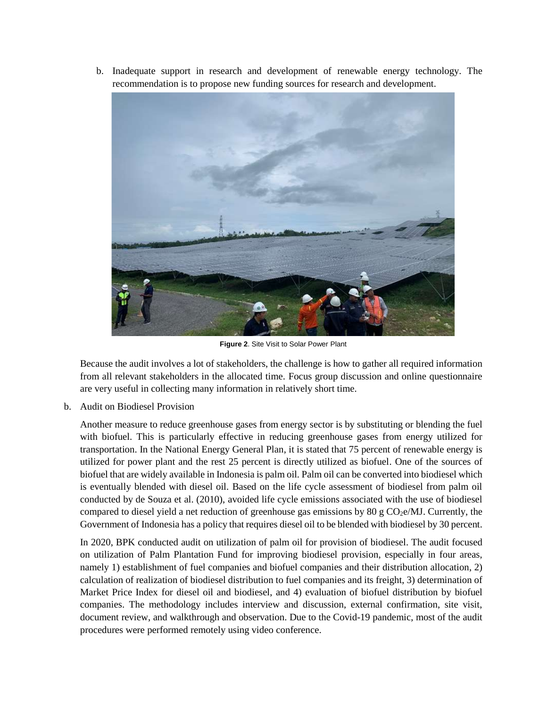b. Inadequate support in research and development of renewable energy technology. The recommendation is to propose new funding sources for research and development.



**Figure 2**. Site Visit to Solar Power Plant

Because the audit involves a lot of stakeholders, the challenge is how to gather all required information from all relevant stakeholders in the allocated time. Focus group discussion and online questionnaire are very useful in collecting many information in relatively short time.

b. Audit on Biodiesel Provision

Another measure to reduce greenhouse gases from energy sector is by substituting or blending the fuel with biofuel. This is particularly effective in reducing greenhouse gases from energy utilized for transportation. In the National Energy General Plan, it is stated that 75 percent of renewable energy is utilized for power plant and the rest 25 percent is directly utilized as biofuel. One of the sources of biofuel that are widely available in Indonesia is palm oil. Palm oil can be converted into biodiesel which is eventually blended with diesel oil. Based on the life cycle assessment of biodiesel from palm oil conducted by de Souza et al. (2010), avoided life cycle emissions associated with the use of biodiesel compared to diesel yield a net reduction of greenhouse gas emissions by 80 g  $CO<sub>2</sub>e/MJ$ . Currently, the Government of Indonesia has a policy that requires diesel oil to be blended with biodiesel by 30 percent.

In 2020, BPK conducted audit on utilization of palm oil for provision of biodiesel. The audit focused on utilization of Palm Plantation Fund for improving biodiesel provision, especially in four areas, namely 1) establishment of fuel companies and biofuel companies and their distribution allocation, 2) calculation of realization of biodiesel distribution to fuel companies and its freight, 3) determination of Market Price Index for diesel oil and biodiesel, and 4) evaluation of biofuel distribution by biofuel companies. The methodology includes interview and discussion, external confirmation, site visit, document review, and walkthrough and observation. Due to the Covid-19 pandemic, most of the audit procedures were performed remotely using video conference.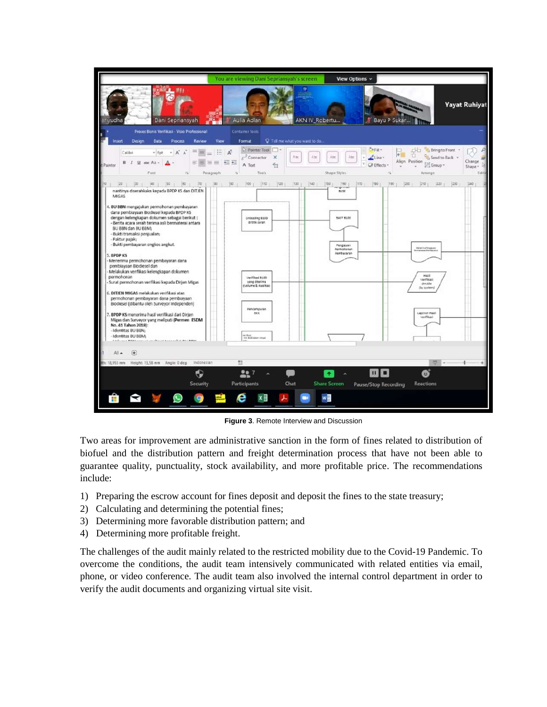

**Figure 3**. Remote Interview and Discussion

Two areas for improvement are administrative sanction in the form of fines related to distribution of biofuel and the distribution pattern and freight determination process that have not been able to guarantee quality, punctuality, stock availability, and more profitable price. The recommendations include:

- 1) Preparing the escrow account for fines deposit and deposit the fines to the state treasury;
- 2) Calculating and determining the potential fines;
- 3) Determining more favorable distribution pattern; and
- 4) Determining more profitable freight.

The challenges of the audit mainly related to the restricted mobility due to the Covid-19 Pandemic. To overcome the conditions, the audit team intensively communicated with related entities via email, phone, or video conference. The audit team also involved the internal control department in order to verify the audit documents and organizing virtual site visit.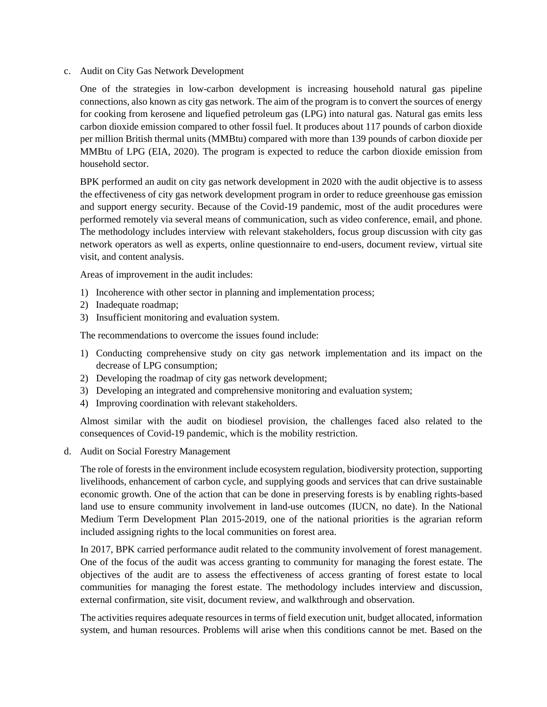c. Audit on City Gas Network Development

One of the strategies in low-carbon development is increasing household natural gas pipeline connections, also known as city gas network. The aim of the program is to convert the sources of energy for cooking from kerosene and liquefied petroleum gas (LPG) into natural gas. Natural gas emits less carbon dioxide emission compared to other fossil fuel. It produces about 117 pounds of carbon dioxide per million British thermal units (MMBtu) compared with more than 139 pounds of carbon dioxide per MMBtu of LPG (EIA, 2020). The program is expected to reduce the carbon dioxide emission from household sector.

BPK performed an audit on city gas network development in 2020 with the audit objective is to assess the effectiveness of city gas network development program in order to reduce greenhouse gas emission and support energy security. Because of the Covid-19 pandemic, most of the audit procedures were performed remotely via several means of communication, such as video conference, email, and phone. The methodology includes interview with relevant stakeholders, focus group discussion with city gas network operators as well as experts, online questionnaire to end-users, document review, virtual site visit, and content analysis.

Areas of improvement in the audit includes:

- 1) Incoherence with other sector in planning and implementation process;
- 2) Inadequate roadmap;
- 3) Insufficient monitoring and evaluation system.

The recommendations to overcome the issues found include:

- 1) Conducting comprehensive study on city gas network implementation and its impact on the decrease of LPG consumption;
- 2) Developing the roadmap of city gas network development;
- 3) Developing an integrated and comprehensive monitoring and evaluation system;
- 4) Improving coordination with relevant stakeholders.

Almost similar with the audit on biodiesel provision, the challenges faced also related to the consequences of Covid-19 pandemic, which is the mobility restriction.

d. Audit on Social Forestry Management

The role of forests in the environment include ecosystem regulation, biodiversity protection, supporting livelihoods, enhancement of carbon cycle, and supplying goods and services that can drive sustainable economic growth. One of the action that can be done in preserving forests is by enabling rights-based land use to ensure community involvement in land-use outcomes (IUCN, no date). In the National Medium Term Development Plan 2015-2019, one of the national priorities is the agrarian reform included assigning rights to the local communities on forest area.

In 2017, BPK carried performance audit related to the community involvement of forest management. One of the focus of the audit was access granting to community for managing the forest estate. The objectives of the audit are to assess the effectiveness of access granting of forest estate to local communities for managing the forest estate. The methodology includes interview and discussion, external confirmation, site visit, document review, and walkthrough and observation.

The activities requires adequate resources in terms of field execution unit, budget allocated, information system, and human resources. Problems will arise when this conditions cannot be met. Based on the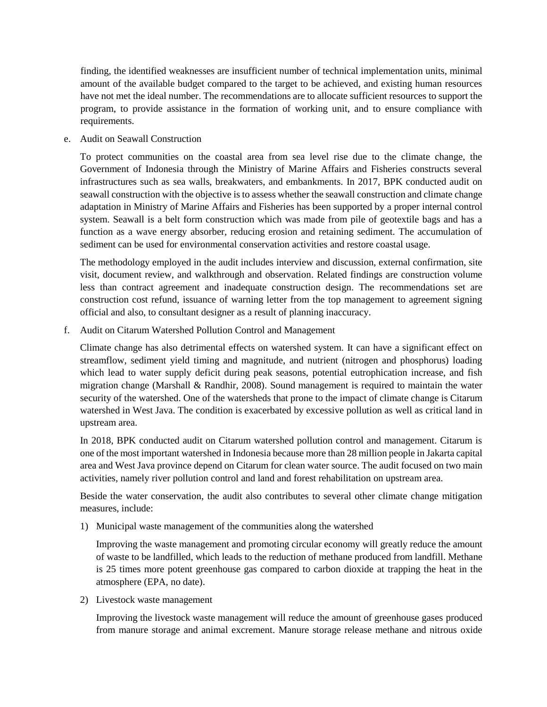finding, the identified weaknesses are insufficient number of technical implementation units, minimal amount of the available budget compared to the target to be achieved, and existing human resources have not met the ideal number. The recommendations are to allocate sufficient resources to support the program, to provide assistance in the formation of working unit, and to ensure compliance with requirements.

e. Audit on Seawall Construction

To protect communities on the coastal area from sea level rise due to the climate change, the Government of Indonesia through the Ministry of Marine Affairs and Fisheries constructs several infrastructures such as sea walls, breakwaters, and embankments. In 2017, BPK conducted audit on seawall construction with the objective is to assess whether the seawall construction and climate change adaptation in Ministry of Marine Affairs and Fisheries has been supported by a proper internal control system. Seawall is a belt form construction which was made from pile of geotextile bags and has a function as a wave energy absorber, reducing erosion and retaining sediment. The accumulation of sediment can be used for environmental conservation activities and restore coastal usage.

The methodology employed in the audit includes interview and discussion, external confirmation, site visit, document review, and walkthrough and observation. Related findings are construction volume less than contract agreement and inadequate construction design. The recommendations set are construction cost refund, issuance of warning letter from the top management to agreement signing official and also, to consultant designer as a result of planning inaccuracy.

f. Audit on Citarum Watershed Pollution Control and Management

Climate change has also detrimental effects on watershed system. It can have a significant effect on streamflow, sediment yield timing and magnitude, and nutrient (nitrogen and phosphorus) loading which lead to water supply deficit during peak seasons, potential eutrophication increase, and fish migration change (Marshall & Randhir, 2008). Sound management is required to maintain the water security of the watershed. One of the watersheds that prone to the impact of climate change is Citarum watershed in West Java. The condition is exacerbated by excessive pollution as well as critical land in upstream area.

In 2018, BPK conducted audit on Citarum watershed pollution control and management. Citarum is one of the most important watershed in Indonesia because more than 28 million people in Jakarta capital area and West Java province depend on Citarum for clean water source. The audit focused on two main activities, namely river pollution control and land and forest rehabilitation on upstream area.

Beside the water conservation, the audit also contributes to several other climate change mitigation measures, include:

1) Municipal waste management of the communities along the watershed

Improving the waste management and promoting circular economy will greatly reduce the amount of waste to be landfilled, which leads to the reduction of methane produced from landfill. Methane is 25 times more potent greenhouse gas compared to carbon dioxide at trapping the heat in the atmosphere (EPA, no date).

2) Livestock waste management

Improving the livestock waste management will reduce the amount of greenhouse gases produced from manure storage and animal excrement. Manure storage release methane and nitrous oxide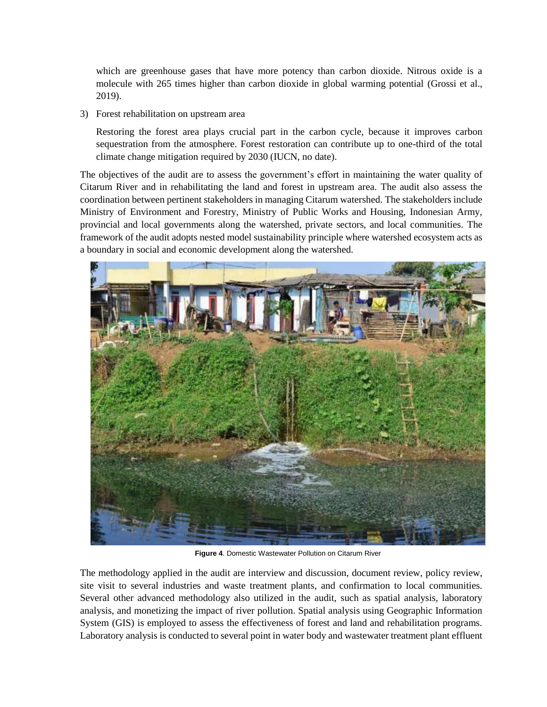which are greenhouse gases that have more potency than carbon dioxide. Nitrous oxide is a molecule with 265 times higher than carbon dioxide in global warming potential (Grossi et al., 2019).

3) Forest rehabilitation on upstream area

Restoring the forest area plays crucial part in the carbon cycle, because it improves carbon sequestration from the atmosphere. Forest restoration can contribute up to one-third of the total climate change mitigation required by 2030 (IUCN, no date).

The objectives of the audit are to assess the government's effort in maintaining the water quality of Citarum River and in rehabilitating the land and forest in upstream area. The audit also assess the coordination between pertinent stakeholders in managing Citarum watershed. The stakeholders include Ministry of Environment and Forestry, Ministry of Public Works and Housing, Indonesian Army, provincial and local governments along the watershed, private sectors, and local communities. The framework of the audit adopts nested model sustainability principle where watershed ecosystem acts as a boundary in social and economic development along the watershed.



**Figure 4**. Domestic Wastewater Pollution on Citarum River

The methodology applied in the audit are interview and discussion, document review, policy review, site visit to several industries and waste treatment plants, and confirmation to local communities. Several other advanced methodology also utilized in the audit, such as spatial analysis, laboratory analysis, and monetizing the impact of river pollution. Spatial analysis using Geographic Information System (GIS) is employed to assess the effectiveness of forest and land and rehabilitation programs. Laboratory analysis is conducted to several point in water body and wastewater treatment plant effluent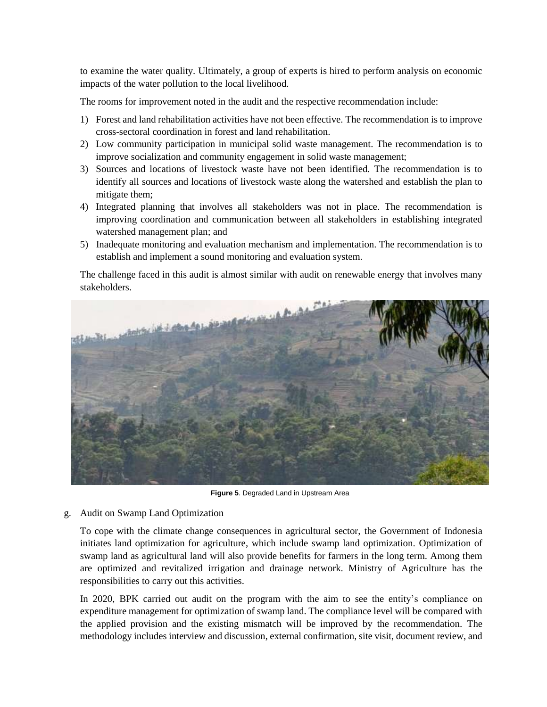to examine the water quality. Ultimately, a group of experts is hired to perform analysis on economic impacts of the water pollution to the local livelihood.

The rooms for improvement noted in the audit and the respective recommendation include:

- 1) Forest and land rehabilitation activities have not been effective. The recommendation is to improve cross-sectoral coordination in forest and land rehabilitation.
- 2) Low community participation in municipal solid waste management. The recommendation is to improve socialization and community engagement in solid waste management;
- 3) Sources and locations of livestock waste have not been identified. The recommendation is to identify all sources and locations of livestock waste along the watershed and establish the plan to mitigate them;
- 4) Integrated planning that involves all stakeholders was not in place. The recommendation is improving coordination and communication between all stakeholders in establishing integrated watershed management plan; and
- 5) Inadequate monitoring and evaluation mechanism and implementation. The recommendation is to establish and implement a sound monitoring and evaluation system.

The challenge faced in this audit is almost similar with audit on renewable energy that involves many stakeholders.



**Figure 5**. Degraded Land in Upstream Area

g. Audit on Swamp Land Optimization

To cope with the climate change consequences in agricultural sector, the Government of Indonesia initiates land optimization for agriculture, which include swamp land optimization. Optimization of swamp land as agricultural land will also provide benefits for farmers in the long term. Among them are optimized and revitalized irrigation and drainage network. Ministry of Agriculture has the responsibilities to carry out this activities.

In 2020, BPK carried out audit on the program with the aim to see the entity's compliance on expenditure management for optimization of swamp land. The compliance level will be compared with the applied provision and the existing mismatch will be improved by the recommendation. The methodology includes interview and discussion, external confirmation, site visit, document review, and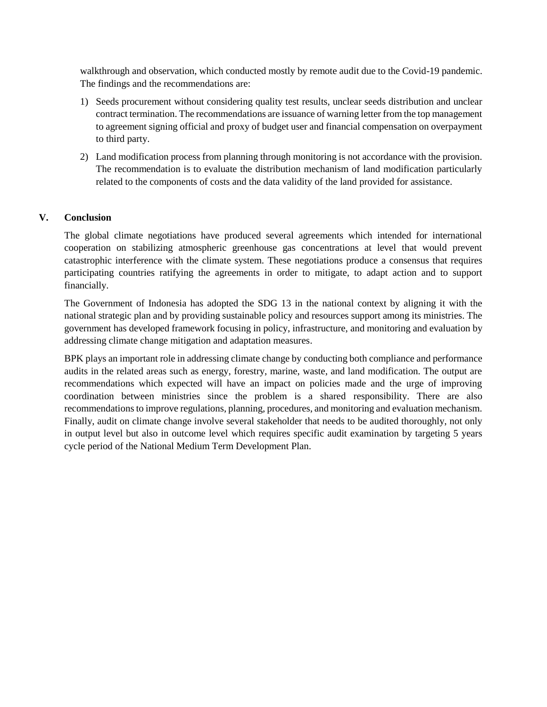walkthrough and observation, which conducted mostly by remote audit due to the Covid-19 pandemic. The findings and the recommendations are:

- 1) Seeds procurement without considering quality test results, unclear seeds distribution and unclear contract termination. The recommendations are issuance of warning letter from the top management to agreement signing official and proxy of budget user and financial compensation on overpayment to third party.
- 2) Land modification process from planning through monitoring is not accordance with the provision. The recommendation is to evaluate the distribution mechanism of land modification particularly related to the components of costs and the data validity of the land provided for assistance.

### **V. Conclusion**

The global climate negotiations have produced several agreements which intended for international cooperation on stabilizing atmospheric greenhouse gas concentrations at level that would prevent catastrophic interference with the climate system. These negotiations produce a consensus that requires participating countries ratifying the agreements in order to mitigate, to adapt action and to support financially.

The Government of Indonesia has adopted the SDG 13 in the national context by aligning it with the national strategic plan and by providing sustainable policy and resources support among its ministries. The government has developed framework focusing in policy, infrastructure, and monitoring and evaluation by addressing climate change mitigation and adaptation measures.

BPK plays an important role in addressing climate change by conducting both compliance and performance audits in the related areas such as energy, forestry, marine, waste, and land modification. The output are recommendations which expected will have an impact on policies made and the urge of improving coordination between ministries since the problem is a shared responsibility. There are also recommendations to improve regulations, planning, procedures, and monitoring and evaluation mechanism. Finally, audit on climate change involve several stakeholder that needs to be audited thoroughly, not only in output level but also in outcome level which requires specific audit examination by targeting 5 years cycle period of the National Medium Term Development Plan.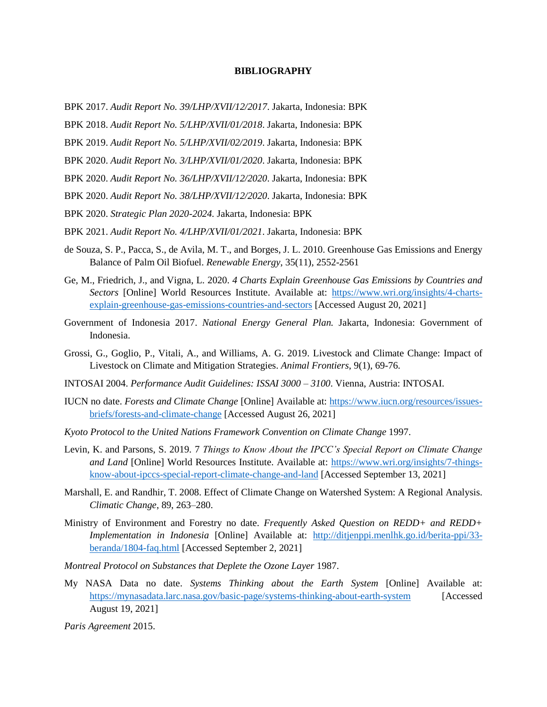#### **BIBLIOGRAPHY**

- BPK 2017. *Audit Report No. 39/LHP/XVII/12/2017*. Jakarta, Indonesia: BPK
- BPK 2018. *Audit Report No. 5/LHP/XVII/01/2018*. Jakarta, Indonesia: BPK
- BPK 2019. *Audit Report No. 5/LHP/XVII/02/2019*. Jakarta, Indonesia: BPK
- BPK 2020. *Audit Report No. 3/LHP/XVII/01/2020*. Jakarta, Indonesia: BPK
- BPK 2020. *Audit Report No. 36/LHP/XVII/12/2020*. Jakarta, Indonesia: BPK
- BPK 2020. *Audit Report No. 38/LHP/XVII/12/2020*. Jakarta, Indonesia: BPK
- BPK 2020. *Strategic Plan 2020-2024.* Jakarta, Indonesia: BPK
- BPK 2021. *Audit Report No. 4/LHP/XVII/01/2021*. Jakarta, Indonesia: BPK
- de Souza, S. P., Pacca, S., de Avila, M. T., and Borges, J. L. 2010. Greenhouse Gas Emissions and Energy Balance of Palm Oil Biofuel. *Renewable Energy*, 35(11), 2552-2561
- Ge, M., Friedrich, J., and Vigna, L. 2020. *4 Charts Explain Greenhouse Gas Emissions by Countries and Sectors* [Online] World Resources Institute. Available at: [https://www.wri.org/insights/4-charts](https://www.wri.org/insights/4-charts-explain-greenhouse-gas-emissions-countries-and-sectors)[explain-greenhouse-gas-emissions-countries-and-sectors](https://www.wri.org/insights/4-charts-explain-greenhouse-gas-emissions-countries-and-sectors) [Accessed August 20, 2021]
- Government of Indonesia 2017. *National Energy General Plan.* Jakarta, Indonesia: Government of Indonesia.
- Grossi, G., Goglio, P., Vitali, A., and Williams, A. G. 2019. Livestock and Climate Change: Impact of Livestock on Climate and Mitigation Strategies. *Animal Frontiers*, 9(1), 69-76.
- INTOSAI 2004. *Performance Audit Guidelines: ISSAI 3000 – 3100*. Vienna, Austria: INTOSAI.
- IUCN no date. *Forests and Climate Change* [Online] Available at: [https://www.iucn.org/resources/issues](https://www.iucn.org/resources/issues-briefs/forests-and-climate-change)[briefs/forests-and-climate-change](https://www.iucn.org/resources/issues-briefs/forests-and-climate-change) [Accessed August 26, 2021]
- *Kyoto Protocol to the United Nations Framework Convention on Climate Change* 1997.
- Levin, K. and Parsons, S. 2019. 7 *Things to Know About the IPCC's Special Report on Climate Change and Land* [Online] World Resources Institute. Available at: [https://www.wri.org/insights/7-things](https://www.wri.org/insights/7-things-know-about-ipccs-special-report-climate-change-and-land)[know-about-ipccs-special-report-climate-change-and-land](https://www.wri.org/insights/7-things-know-about-ipccs-special-report-climate-change-and-land) [Accessed September 13, 2021]
- Marshall, E. and Randhir, T. 2008. Effect of Climate Change on Watershed System: A Regional Analysis. *Climatic Change*, 89, 263–280.
- Ministry of Environment and Forestry no date. *Frequently Asked Question on REDD+ and REDD+ Implementation in Indonesia* [Online] Available at: [http://ditjenppi.menlhk.go.id/berita-ppi/33](http://ditjenppi.menlhk.go.id/berita-ppi/33-beranda/1804-faq.html) [beranda/1804-faq.html](http://ditjenppi.menlhk.go.id/berita-ppi/33-beranda/1804-faq.html) [Accessed September 2, 2021]
- *Montreal Protocol on Substances that Deplete the Ozone Layer* 1987.
- My NASA Data no date. *Systems Thinking about the Earth System* [Online] Available at: <https://mynasadata.larc.nasa.gov/basic-page/systems-thinking-about-earth-system> [Accessed August 19, 2021]

*Paris Agreement* 2015.